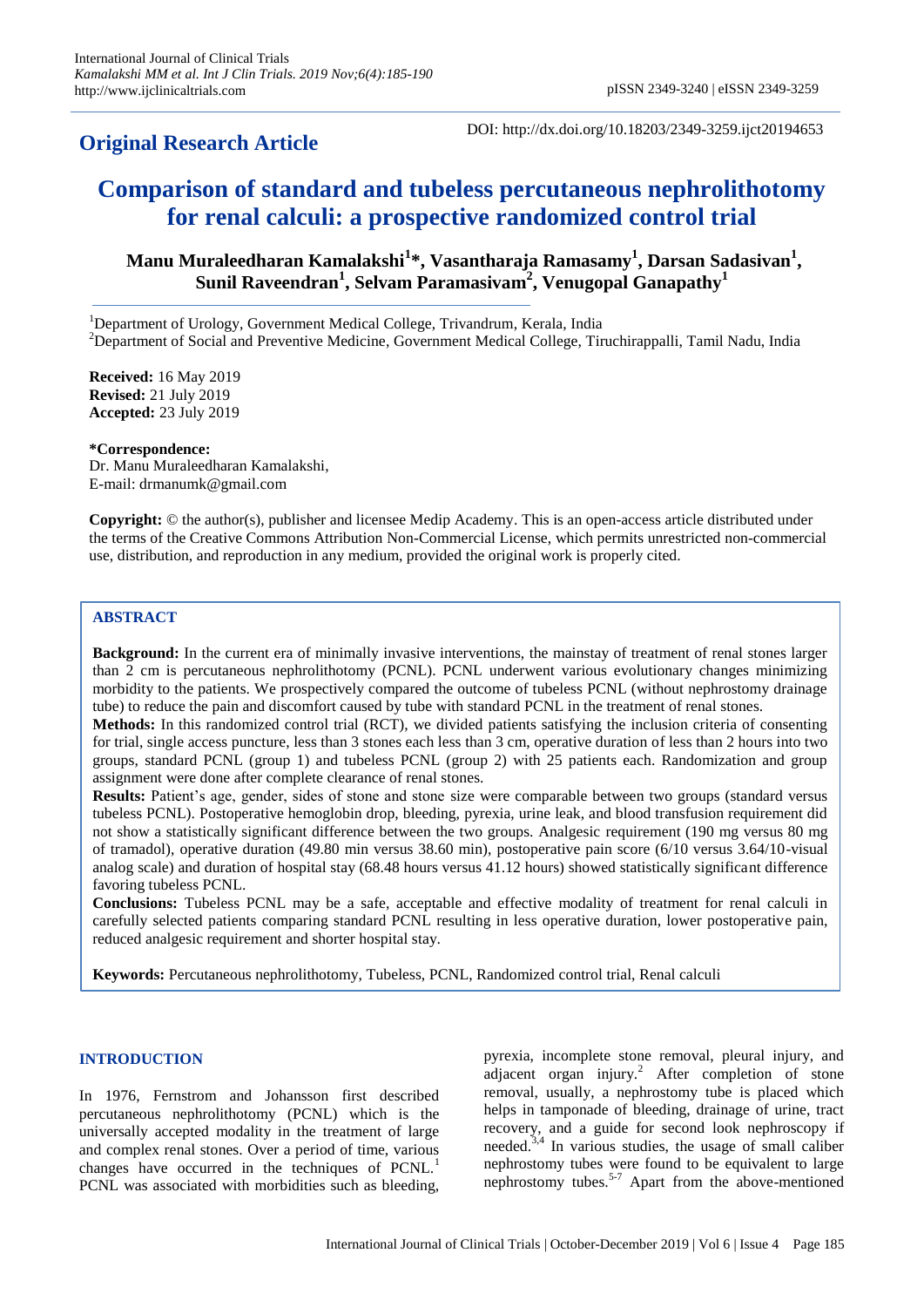# **Original Research Article**

DOI: http://dx.doi.org/10.18203/2349-3259.ijct20194653

# **Comparison of standard and tubeless percutaneous nephrolithotomy for renal calculi: a prospective randomized control trial**

**Manu Muraleedharan Kamalakshi<sup>1</sup> \*, Vasantharaja Ramasamy<sup>1</sup> , Darsan Sadasivan<sup>1</sup> , Sunil Raveendran<sup>1</sup> , Selvam Paramasivam<sup>2</sup> , Venugopal Ganapathy<sup>1</sup>**

<sup>1</sup>Department of Urology, Government Medical College, Trivandrum, Kerala, India

<sup>2</sup>Department of Social and Preventive Medicine, Government Medical College, Tiruchirappalli, Tamil Nadu, India

**Received:** 16 May 2019 **Revised:** 21 July 2019 **Accepted:** 23 July 2019

**\*Correspondence:** Dr. Manu Muraleedharan Kamalakshi, E-mail: drmanumk@gmail.com

**Copyright:** © the author(s), publisher and licensee Medip Academy. This is an open-access article distributed under the terms of the Creative Commons Attribution Non-Commercial License, which permits unrestricted non-commercial use, distribution, and reproduction in any medium, provided the original work is properly cited.

# **ABSTRACT**

**Background:** In the current era of minimally invasive interventions, the mainstay of treatment of renal stones larger than 2 cm is percutaneous nephrolithotomy (PCNL). PCNL underwent various evolutionary changes minimizing morbidity to the patients. We prospectively compared the outcome of tubeless PCNL (without nephrostomy drainage tube) to reduce the pain and discomfort caused by tube with standard PCNL in the treatment of renal stones.

**Methods:** In this randomized control trial (RCT), we divided patients satisfying the inclusion criteria of consenting for trial, single access puncture, less than 3 stones each less than 3 cm, operative duration of less than 2 hours into two groups, standard PCNL (group 1) and tubeless PCNL (group 2) with 25 patients each. Randomization and group assignment were done after complete clearance of renal stones.

**Results:** Patient's age, gender, sides of stone and stone size were comparable between two groups (standard versus tubeless PCNL). Postoperative hemoglobin drop, bleeding, pyrexia, urine leak, and blood transfusion requirement did not show a statistically significant difference between the two groups. Analgesic requirement (190 mg versus 80 mg of tramadol), operative duration (49.80 min versus 38.60 min), postoperative pain score (6/10 versus 3.64/10-visual analog scale) and duration of hospital stay (68.48 hours versus 41.12 hours) showed statistically significant difference favoring tubeless PCNL.

**Conclusions:** Tubeless PCNL may be a safe, acceptable and effective modality of treatment for renal calculi in carefully selected patients comparing standard PCNL resulting in less operative duration, lower postoperative pain, reduced analgesic requirement and shorter hospital stay.

**Keywords:** Percutaneous nephrolithotomy, Tubeless, PCNL, Randomized control trial, Renal calculi

# **INTRODUCTION**

In 1976, Fernstrom and Johansson first described percutaneous nephrolithotomy (PCNL) which is the universally accepted modality in the treatment of large and complex renal stones. Over a period of time, various changes have occurred in the techniques of PCNL.<sup>1</sup> PCNL was associated with morbidities such as bleeding,

pyrexia, incomplete stone removal, pleural injury, and adjacent organ injury.<sup>2</sup> After completion of stone removal, usually, a nephrostomy tube is placed which helps in tamponade of bleeding, drainage of urine, tract recovery, and a guide for second look nephroscopy if needed.3,4 In various studies, the usage of small caliber nephrostomy tubes were found to be equivalent to large nephrostomy tubes.5-7 Apart from the above-mentioned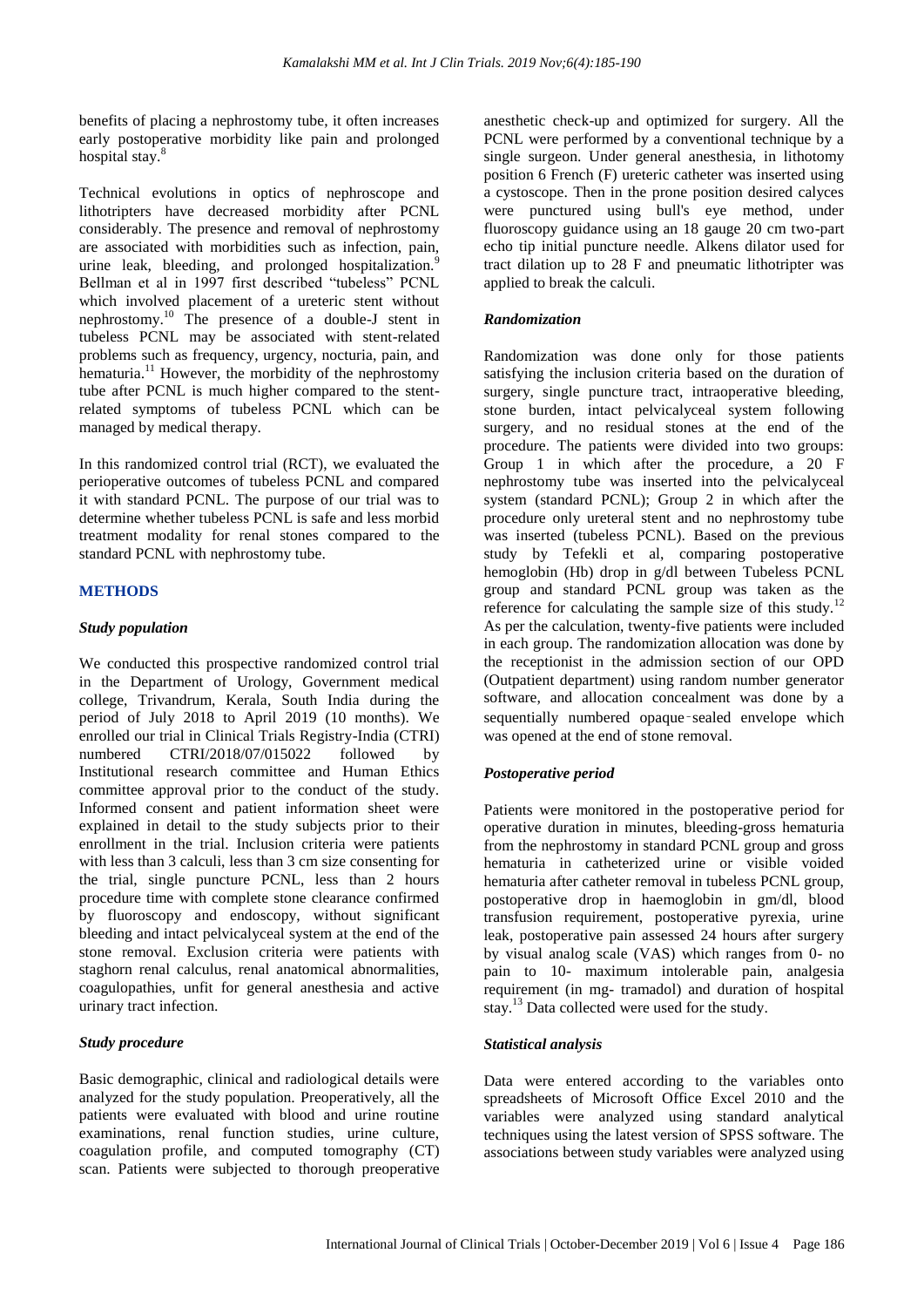benefits of placing a nephrostomy tube, it often increases early postoperative morbidity like pain and prolonged hospital stay.<sup>8</sup>

Technical evolutions in optics of nephroscope and lithotripters have decreased morbidity after PCNL considerably. The presence and removal of nephrostomy are associated with morbidities such as infection, pain, urine leak, bleeding, and prolonged hospitalization.<sup>9</sup> Bellman et al in 1997 first described "tubeless" PCNL which involved placement of a ureteric stent without nephrostomy.<sup>10</sup> The presence of a double-J stent in tubeless PCNL may be associated with stent-related problems such as frequency, urgency, nocturia, pain, and hematuria.<sup>11</sup> However, the morbidity of the nephrostomy tube after PCNL is much higher compared to the stentrelated symptoms of tubeless PCNL which can be managed by medical therapy.

In this randomized control trial (RCT), we evaluated the perioperative outcomes of tubeless PCNL and compared it with standard PCNL. The purpose of our trial was to determine whether tubeless PCNL is safe and less morbid treatment modality for renal stones compared to the standard PCNL with nephrostomy tube.

# **METHODS**

#### *Study population*

We conducted this prospective randomized control trial in the Department of Urology, Government medical college, Trivandrum, Kerala, South India during the period of July 2018 to April 2019 (10 months). We enrolled our trial in Clinical Trials Registry-India (CTRI) numbered CTRI/2018/07/015022 followed by Institutional research committee and Human Ethics committee approval prior to the conduct of the study. Informed consent and patient information sheet were explained in detail to the study subjects prior to their enrollment in the trial. Inclusion criteria were patients with less than 3 calculi, less than 3 cm size consenting for the trial, single puncture PCNL, less than 2 hours procedure time with complete stone clearance confirmed by fluoroscopy and endoscopy, without significant bleeding and intact pelvicalyceal system at the end of the stone removal. Exclusion criteria were patients with staghorn renal calculus, renal anatomical abnormalities, coagulopathies, unfit for general anesthesia and active urinary tract infection.

#### *Study procedure*

Basic demographic, clinical and radiological details were analyzed for the study population. Preoperatively, all the patients were evaluated with blood and urine routine examinations, renal function studies, urine culture, coagulation profile, and computed tomography (CT) scan. Patients were subjected to thorough preoperative anesthetic check-up and optimized for surgery. All the PCNL were performed by a conventional technique by a single surgeon. Under general anesthesia, in lithotomy position 6 French (F) ureteric catheter was inserted using a cystoscope. Then in the prone position desired calyces were punctured using bull's eye method, under fluoroscopy guidance using an 18 gauge 20 cm two-part echo tip initial puncture needle. Alkens dilator used for tract dilation up to 28 F and pneumatic lithotripter was applied to break the calculi.

#### *Randomization*

Randomization was done only for those patients satisfying the inclusion criteria based on the duration of surgery, single puncture tract, intraoperative bleeding, stone burden, intact pelvicalyceal system following surgery, and no residual stones at the end of the procedure. The patients were divided into two groups: Group 1 in which after the procedure, a 20 F nephrostomy tube was inserted into the pelvicalyceal system (standard PCNL); Group 2 in which after the procedure only ureteral stent and no nephrostomy tube was inserted (tubeless PCNL). Based on the previous study by Tefekli et al, comparing postoperative hemoglobin (Hb) drop in g/dl between Tubeless PCNL group and standard PCNL group was taken as the reference for calculating the sample size of this study.<sup>12</sup> As per the calculation, twenty-five patients were included in each group. The randomization allocation was done by the receptionist in the admission section of our OPD (Outpatient department) using random number generator software, and allocation concealment was done by a sequentially numbered opaque‑sealed envelope which was opened at the end of stone removal.

# *Postoperative period*

Patients were monitored in the postoperative period for operative duration in minutes, bleeding-gross hematuria from the nephrostomy in standard PCNL group and gross hematuria in catheterized urine or visible voided hematuria after catheter removal in tubeless PCNL group, postoperative drop in haemoglobin in gm/dl, blood transfusion requirement, postoperative pyrexia, urine leak, postoperative pain assessed 24 hours after surgery by visual analog scale (VAS) which ranges from 0- no pain to 10- maximum intolerable pain, analgesia requirement (in mg- tramadol) and duration of hospital stay.<sup>13</sup> Data collected were used for the study.

#### *Statistical analysis*

Data were entered according to the variables onto spreadsheets of Microsoft Office Excel 2010 and the variables were analyzed using standard analytical techniques using the latest version of SPSS software. The associations between study variables were analyzed using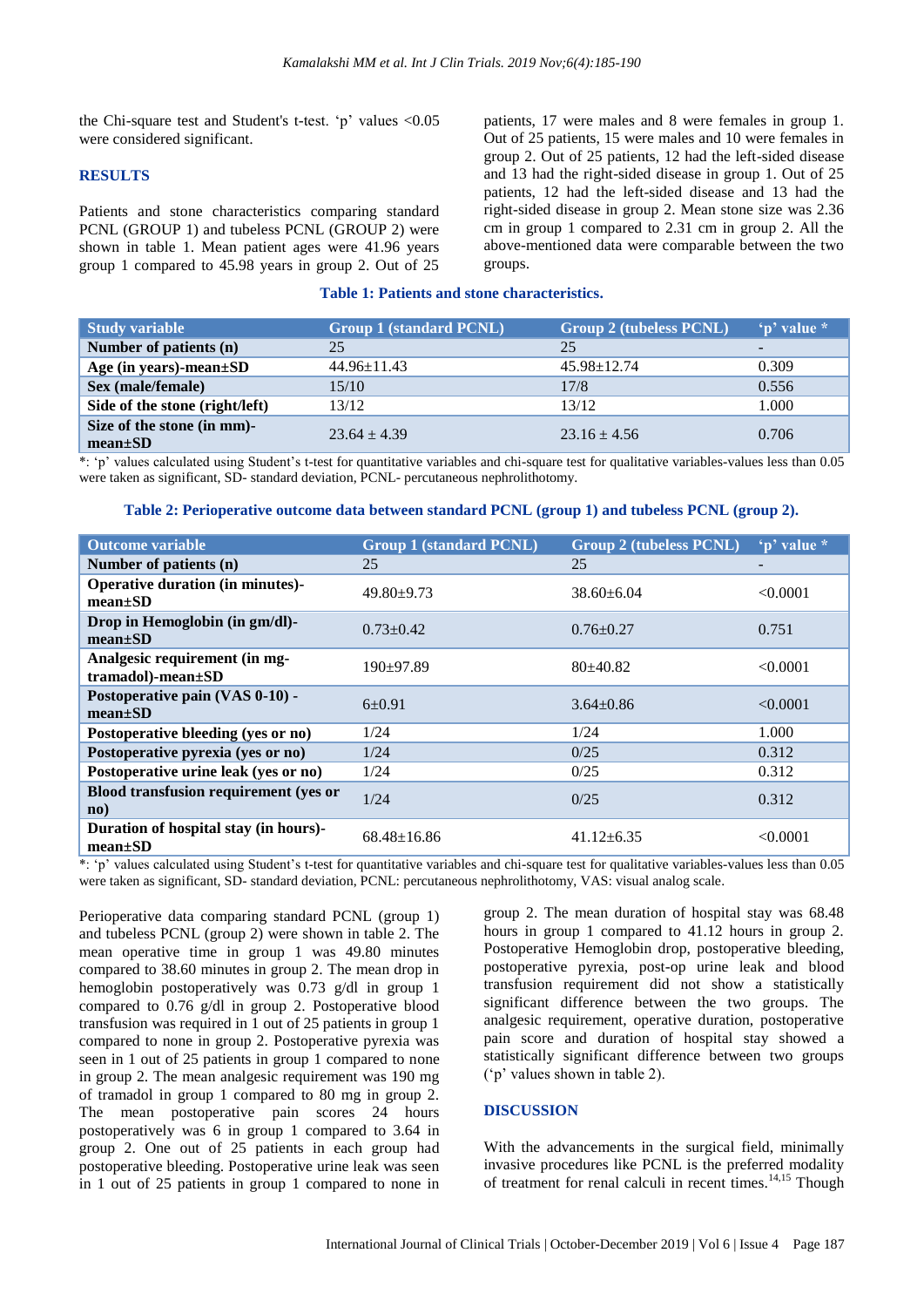the Chi-square test and Student's t-test.  $\pi$  values <0.05 were considered significant.

#### **RESULTS**

Patients and stone characteristics comparing standard PCNL (GROUP 1) and tubeless PCNL (GROUP 2) were shown in table 1. Mean patient ages were 41.96 years group 1 compared to 45.98 years in group 2. Out of 25 patients, 17 were males and 8 were females in group 1. Out of 25 patients, 15 were males and 10 were females in group 2. Out of 25 patients, 12 had the left-sided disease and 13 had the right-sided disease in group 1. Out of 25 patients, 12 had the left-sided disease and 13 had the right-sided disease in group 2. Mean stone size was 2.36 cm in group 1 compared to 2.31 cm in group 2. All the above-mentioned data were comparable between the two groups.

#### **Table 1: Patients and stone characteristics.**

| <b>Study variable</b>                       | <b>Group 1 (standard PCNL)</b> | <b>Group 2 (tubeless PCNL)</b> | 'p' value * |
|---------------------------------------------|--------------------------------|--------------------------------|-------------|
| Number of patients (n)                      | 25                             | 25                             |             |
| Age (in years)-mean $\pm SD$                | $44.96 \pm 11.43$              | $45.98 \pm 12.74$              | 0.309       |
| Sex (male/female)                           | 15/10                          | 17/8                           | 0.556       |
| Side of the stone (right/left)              | 13/12                          | 13/12                          | 1.000       |
| Size of the stone (in mm)-<br>$mean \pm SD$ | $23.64 + 4.39$                 | $23.16 \pm 4.56$               | 0.706       |

\*: "p" values calculated using Student"s t-test for quantitative variables and chi-square test for qualitative variables-values less than 0.05 were taken as significant, SD- standard deviation, PCNL- percutaneous nephrolithotomy.

#### **Table 2: Perioperative outcome data between standard PCNL (group 1) and tubeless PCNL (group 2).**

| <b>Outcome variable</b>                                | <b>Group 1 (standard PCNL)</b> | <b>Group 2 (tubeless PCNL)</b> | 'p' value * |
|--------------------------------------------------------|--------------------------------|--------------------------------|-------------|
| Number of patients (n)                                 | 25                             | 25                             | -           |
| Operative duration (in minutes)-<br>$mean \pm SD$      | $49.80 + 9.73$                 | $38.60 \pm 6.04$               | < 0.0001    |
| Drop in Hemoglobin (in gm/dl)-<br>$mean \pm SD$        | $0.73 + 0.42$                  | $0.76 + 0.27$                  | 0.751       |
| Analgesic requirement (in mg-<br>tramadol)-mean±SD     | $190+97.89$                    | $80+40.82$                     | < 0.0001    |
| Postoperative pain (VAS 0-10) -<br>$mean \pm SD$       | $6+0.91$                       | $3.64 + 0.86$                  | < 0.0001    |
| Postoperative bleeding (yes or no)                     | 1/24                           | 1/24                           | 1.000       |
| Postoperative pyrexia (yes or no)                      | 1/24                           | 0/25                           | 0.312       |
| Postoperative urine leak (yes or no)                   | 1/24                           | 0/25                           | 0.312       |
| Blood transfusion requirement (yes or<br>$\mathbf{no}$ | 1/24                           | 0/25                           | 0.312       |
| Duration of hospital stay (in hours)-<br>$mean \pm SD$ | $68.48 \pm 16.86$              | $41.12 + 6.35$                 | < 0.0001    |

\*: "p" values calculated using Student"s t-test for quantitative variables and chi-square test for qualitative variables-values less than 0.05 were taken as significant, SD- standard deviation, PCNL: percutaneous nephrolithotomy, VAS: visual analog scale.

Perioperative data comparing standard PCNL (group 1) and tubeless PCNL (group 2) were shown in table 2. The mean operative time in group 1 was 49.80 minutes compared to 38.60 minutes in group 2. The mean drop in hemoglobin postoperatively was 0.73 g/dl in group 1 compared to 0.76 g/dl in group 2. Postoperative blood transfusion was required in 1 out of 25 patients in group 1 compared to none in group 2. Postoperative pyrexia was seen in 1 out of 25 patients in group 1 compared to none in group 2. The mean analgesic requirement was 190 mg of tramadol in group 1 compared to 80 mg in group 2. The mean postoperative pain scores 24 hours postoperatively was 6 in group 1 compared to 3.64 in group 2. One out of 25 patients in each group had postoperative bleeding. Postoperative urine leak was seen in 1 out of 25 patients in group 1 compared to none in group 2. The mean duration of hospital stay was 68.48 hours in group 1 compared to 41.12 hours in group 2. Postoperative Hemoglobin drop, postoperative bleeding, postoperative pyrexia, post-op urine leak and blood transfusion requirement did not show a statistically significant difference between the two groups. The analgesic requirement, operative duration, postoperative pain score and duration of hospital stay showed a statistically significant difference between two groups ("p" values shown in table 2).

# **DISCUSSION**

With the advancements in the surgical field, minimally invasive procedures like PCNL is the preferred modality of treatment for renal calculi in recent times.<sup>14,15</sup> Though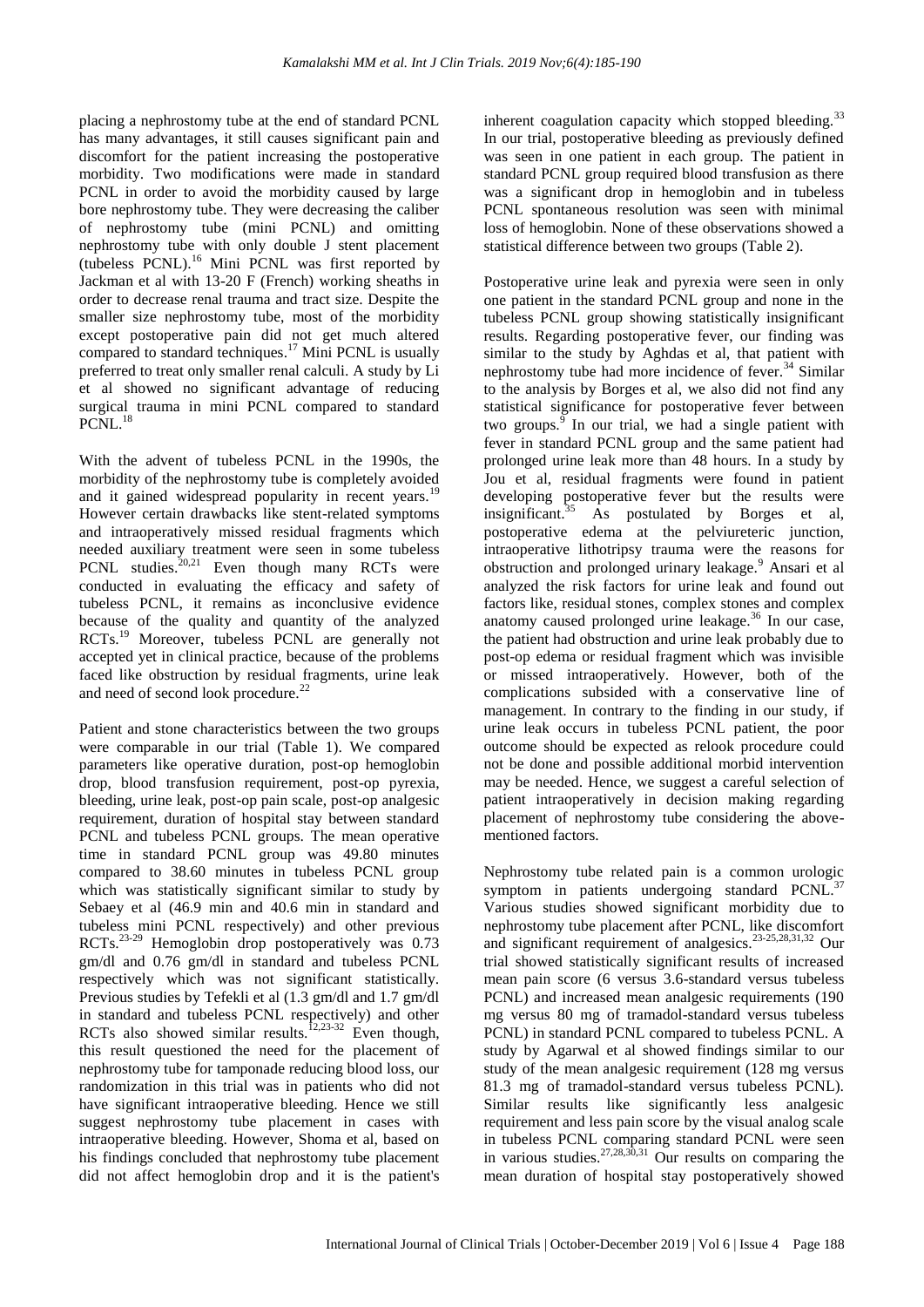placing a nephrostomy tube at the end of standard PCNL has many advantages, it still causes significant pain and discomfort for the patient increasing the postoperative morbidity. Two modifications were made in standard PCNL in order to avoid the morbidity caused by large bore nephrostomy tube. They were decreasing the caliber of nephrostomy tube (mini PCNL) and omitting nephrostomy tube with only double J stent placement (tubeless PCNL).<sup>16</sup> Mini PCNL was first reported by Jackman et al with 13-20 F (French) working sheaths in order to decrease renal trauma and tract size. Despite the smaller size nephrostomy tube, most of the morbidity except postoperative pain did not get much altered compared to standard techniques. <sup>17</sup> Mini PCNL is usually preferred to treat only smaller renal calculi. A study by Li et al showed no significant advantage of reducing surgical trauma in mini PCNL compared to standard PCNL.<sup>18</sup>

With the advent of tubeless PCNL in the 1990s, the morbidity of the nephrostomy tube is completely avoided and it gained widespread popularity in recent years.<sup>1</sup> However certain drawbacks like stent-related symptoms and intraoperatively missed residual fragments which needed auxiliary treatment were seen in some tubeless PCNL studies. $20,21$  Even though many RCTs were conducted in evaluating the efficacy and safety of tubeless PCNL, it remains as inconclusive evidence because of the quality and quantity of the analyzed RCTs.<sup>19</sup> Moreover, tubeless PCNL are generally not accepted yet in clinical practice, because of the problems faced like obstruction by residual fragments, urine leak and need of second look procedure.<sup>22</sup>

Patient and stone characteristics between the two groups were comparable in our trial (Table 1). We compared parameters like operative duration, post-op hemoglobin drop, blood transfusion requirement, post-op pyrexia, bleeding, urine leak, post-op pain scale, post-op analgesic requirement, duration of hospital stay between standard PCNL and tubeless PCNL groups. The mean operative time in standard PCNL group was 49.80 minutes compared to 38.60 minutes in tubeless PCNL group which was statistically significant similar to study by Sebaey et al (46.9 min and 40.6 min in standard and tubeless mini PCNL respectively) and other previous RCTs.23-29 Hemoglobin drop postoperatively was 0.73 gm/dl and 0.76 gm/dl in standard and tubeless PCNL respectively which was not significant statistically. Previous studies by Tefekli et al (1.3 gm/dl and 1.7 gm/dl in standard and tubeless PCNL respectively) and other RCTs also showed similar results.<sup>12,23-32</sup> Even though, this result questioned the need for the placement of nephrostomy tube for tamponade reducing blood loss, our randomization in this trial was in patients who did not have significant intraoperative bleeding. Hence we still suggest nephrostomy tube placement in cases with intraoperative bleeding. However, Shoma et al, based on his findings concluded that nephrostomy tube placement did not affect hemoglobin drop and it is the patient's inherent coagulation capacity which stopped bleeding. $33$ In our trial, postoperative bleeding as previously defined was seen in one patient in each group. The patient in standard PCNL group required blood transfusion as there was a significant drop in hemoglobin and in tubeless PCNL spontaneous resolution was seen with minimal loss of hemoglobin. None of these observations showed a statistical difference between two groups (Table 2).

Postoperative urine leak and pyrexia were seen in only one patient in the standard PCNL group and none in the tubeless PCNL group showing statistically insignificant results. Regarding postoperative fever, our finding was similar to the study by Aghdas et al, that patient with nephrostomy tube had more incidence of fever. $34$  Similar to the analysis by Borges et al, we also did not find any statistical significance for postoperative fever between two groups. $\frac{9}{9}$  In our trial, we had a single patient with fever in standard PCNL group and the same patient had prolonged urine leak more than 48 hours. In a study by Jou et al, residual fragments were found in patient developing postoperative fever but the results were insignificant.<sup>35</sup> As postulated by Borges et al, postoperative edema at the pelviureteric junction, intraoperative lithotripsy trauma were the reasons for obstruction and prolonged urinary leakage.<sup>9</sup> Ansari et al analyzed the risk factors for urine leak and found out factors like, residual stones, complex stones and complex anatomy caused prolonged urine leakage. $36$  In our case, the patient had obstruction and urine leak probably due to post-op edema or residual fragment which was invisible or missed intraoperatively. However, both of the complications subsided with a conservative line of management. In contrary to the finding in our study, if urine leak occurs in tubeless PCNL patient, the poor outcome should be expected as relook procedure could not be done and possible additional morbid intervention may be needed. Hence, we suggest a careful selection of patient intraoperatively in decision making regarding placement of nephrostomy tube considering the abovementioned factors.

Nephrostomy tube related pain is a common urologic symptom in patients undergoing standard PCNL.<sup>3</sup> Various studies showed significant morbidity due to nephrostomy tube placement after PCNL, like discomfort and significant requirement of analgesics.23-25,28,31,32 Our trial showed statistically significant results of increased mean pain score (6 versus 3.6-standard versus tubeless PCNL) and increased mean analgesic requirements (190 mg versus 80 mg of tramadol-standard versus tubeless PCNL) in standard PCNL compared to tubeless PCNL. A study by Agarwal et al showed findings similar to our study of the mean analgesic requirement (128 mg versus 81.3 mg of tramadol-standard versus tubeless PCNL). Similar results like significantly less analgesic requirement and less pain score by the visual analog scale in tubeless PCNL comparing standard PCNL were seen in various studies.<sup>27,28,30,31</sup> Our results on comparing the mean duration of hospital stay postoperatively showed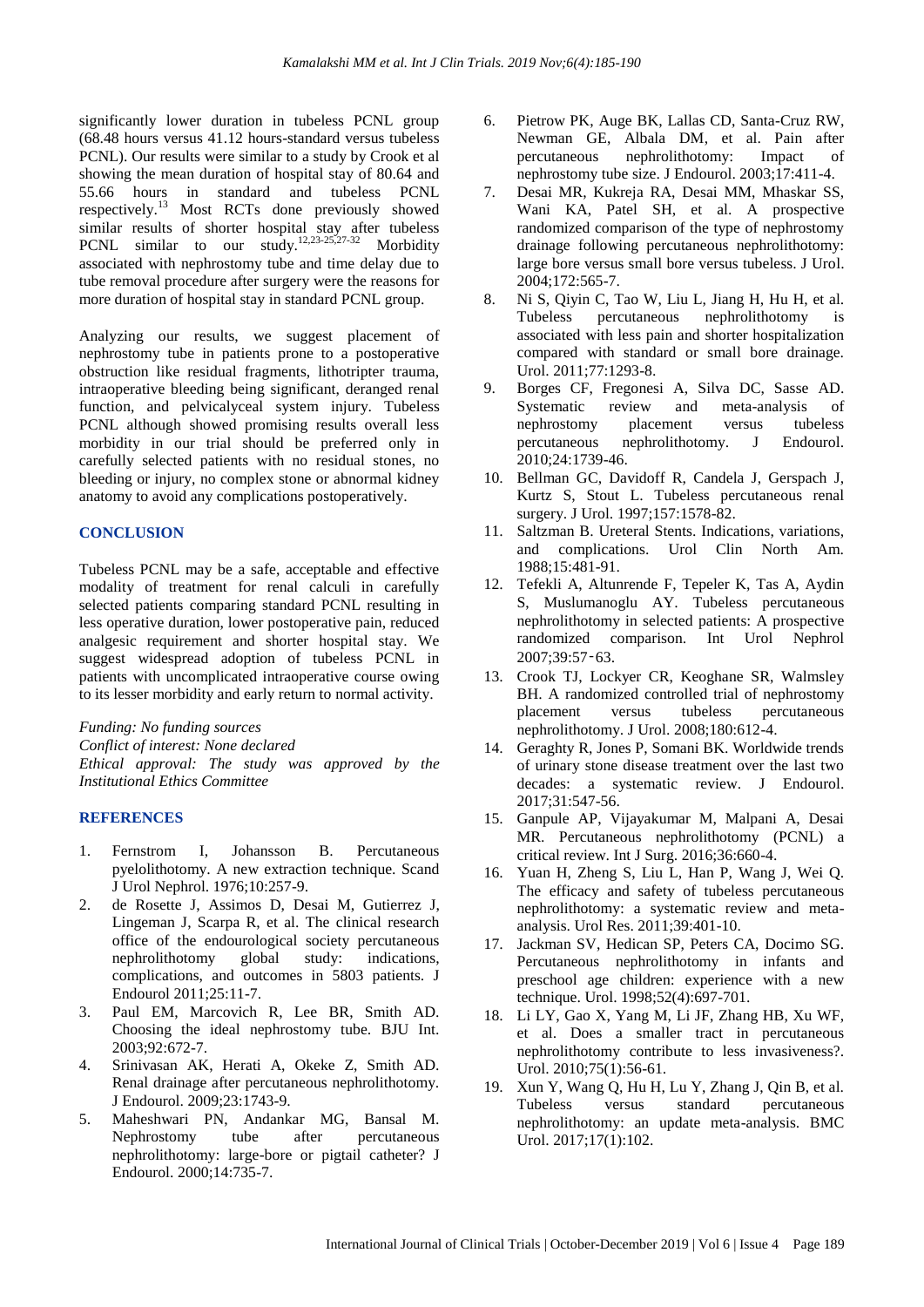significantly lower duration in tubeless PCNL group (68.48 hours versus 41.12 hours-standard versus tubeless PCNL). Our results were similar to a study by Crook et al showing the mean duration of hospital stay of 80.64 and 55.66 hours in standard and tubeless PCNL respectively.<sup>13</sup> Most RCTs done previously showed similar results of shorter hospital stay after tubeless PCNL similar to our study.<sup>12,23-25,27-32</sup> Morbidity associated with nephrostomy tube and time delay due to tube removal procedure after surgery were the reasons for more duration of hospital stay in standard PCNL group.

Analyzing our results, we suggest placement of nephrostomy tube in patients prone to a postoperative obstruction like residual fragments, lithotripter trauma, intraoperative bleeding being significant, deranged renal function, and pelvicalyceal system injury. Tubeless PCNL although showed promising results overall less morbidity in our trial should be preferred only in carefully selected patients with no residual stones, no bleeding or injury, no complex stone or abnormal kidney anatomy to avoid any complications postoperatively.

# **CONCLUSION**

Tubeless PCNL may be a safe, acceptable and effective modality of treatment for renal calculi in carefully selected patients comparing standard PCNL resulting in less operative duration, lower postoperative pain, reduced analgesic requirement and shorter hospital stay. We suggest widespread adoption of tubeless PCNL in patients with uncomplicated intraoperative course owing to its lesser morbidity and early return to normal activity.

*Funding: No funding sources*

*Conflict of interest: None declared Ethical approval: The study was approved by the Institutional Ethics Committee*

# **REFERENCES**

- 1. Fernstrom I, Johansson B. Percutaneous pyelolithotomy. A new extraction technique. Scand J Urol Nephrol. 1976;10:257-9.
- 2. de Rosette J, Assimos D, Desai M, Gutierrez J, Lingeman J, Scarpa R, et al. The clinical research office of the endourological society percutaneous nephrolithotomy global study: indications, complications, and outcomes in 5803 patients. J Endourol 2011;25:11-7.
- 3. Paul EM, Marcovich R, Lee BR, Smith AD. Choosing the ideal nephrostomy tube. BJU Int. 2003;92:672-7.
- 4. Srinivasan AK, Herati A, Okeke Z, Smith AD. Renal drainage after percutaneous nephrolithotomy. J Endourol. 2009;23:1743-9.
- 5. Maheshwari PN, Andankar MG, Bansal M. Nephrostomy tube after percutaneous nephrolithotomy: large-bore or pigtail catheter? J Endourol. 2000;14:735-7.
- 6. Pietrow PK, Auge BK, Lallas CD, Santa-Cruz RW, Newman GE, Albala DM, et al. Pain after percutaneous nephrolithotomy: Impact of nephrostomy tube size. J Endourol. 2003;17:411-4.
- 7. Desai MR, Kukreja RA, Desai MM, Mhaskar SS, Wani KA, Patel SH, et al. A prospective randomized comparison of the type of nephrostomy drainage following percutaneous nephrolithotomy: large bore versus small bore versus tubeless. J Urol. 2004;172:565-7.
- 8. Ni S, Qiyin C, Tao W, Liu L, Jiang H, Hu H, et al. Tubeless percutaneous nephrolithotomy is associated with less pain and shorter hospitalization compared with standard or small bore drainage. Urol. 2011;77:1293-8.
- 9. Borges CF, Fregonesi A, Silva DC, Sasse AD. Systematic review and meta-analysis of nephrostomy placement versus tubeless percutaneous nephrolithotomy. J Endourol. 2010;24:1739-46.
- 10. Bellman GC, Davidoff R, Candela J, Gerspach J, Kurtz S, Stout L. Tubeless percutaneous renal surgery. J Urol. 1997;157:1578-82.
- 11. Saltzman B. Ureteral Stents. Indications, variations, and complications. Urol Clin North Am. 1988;15:481-91.
- 12. Tefekli A, Altunrende F, Tepeler K, Tas A, Aydin S, Muslumanoglu AY. Tubeless percutaneous nephrolithotomy in selected patients: A prospective randomized comparison. Int Urol Nephrol 2007;39:57‑63.
- 13. Crook TJ, Lockyer CR, Keoghane SR, Walmsley BH. A randomized controlled trial of nephrostomy placement versus tubeless percutaneous nephrolithotomy. J Urol. 2008;180:612-4.
- 14. Geraghty R, Jones P, Somani BK. Worldwide trends of urinary stone disease treatment over the last two decades: a systematic review. J Endourol. 2017;31:547-56.
- 15. Ganpule AP, Vijayakumar M, Malpani A, Desai MR. Percutaneous nephrolithotomy (PCNL) a critical review. Int J Surg. 2016;36:660-4.
- 16. Yuan H, Zheng S, Liu L, Han P, Wang J, Wei Q. The efficacy and safety of tubeless percutaneous nephrolithotomy: a systematic review and metaanalysis. Urol Res. 2011;39:401-10.
- 17. Jackman SV, Hedican SP, Peters CA, Docimo SG. Percutaneous nephrolithotomy in infants and preschool age children: experience with a new technique. Urol. 1998;52(4):697-701.
- 18. Li LY, Gao X, Yang M, Li JF, Zhang HB, Xu WF, et al. Does a smaller tract in percutaneous nephrolithotomy contribute to less invasiveness?. Urol. 2010;75(1):56-61.
- 19. Xun Y, Wang Q, Hu H, Lu Y, Zhang J, Qin B, et al. Tubeless versus standard percutaneous nephrolithotomy: an update meta-analysis. BMC Urol. 2017;17(1):102.